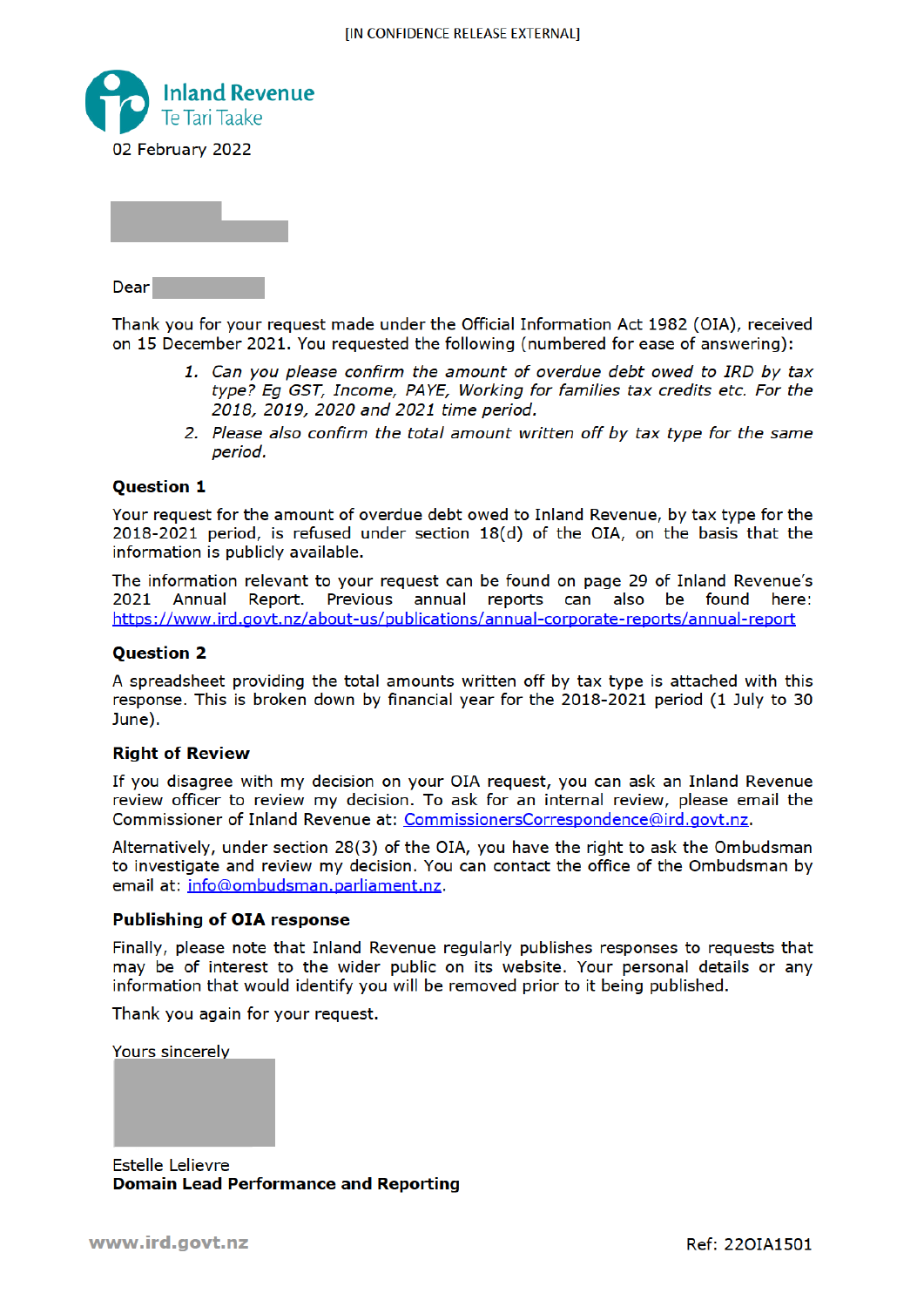

Dear

Thank you for your request made under the Official Information Act 1982 (OIA), received on 15 December 2021. You requested the following (numbered for ease of answering):

- 1. Can you please confirm the amount of overdue debt owed to IRD by tax type? Eq GST, Income, PAYE, Working for families tax credits etc. For the 2018, 2019, 2020 and 2021 time period.
- 2. Please also confirm the total amount written off by tax type for the same period.

## **Ouestion 1**

Your request for the amount of overdue debt owed to Inland Revenue, by tax type for the  $2018-2021$  period, is refused under section  $18(d)$  of the OIA, on the basis that the information is publicly available.

The information relevant to your request can be found on page 29 of Inland Revenue's 2021 Annual Report. Previous annual reports can also be found here: https://www.ird.govt.nz/about-us/publications/annual-corporate-reports/annual-report

### **Ouestion 2**

A spreadsheet providing the total amounts written off by tax type is attached with this response. This is broken down by financial year for the 2018-2021 period (1 July to 30 June).

#### **Right of Review**

If you disagree with my decision on your OIA request, you can ask an Inland Revenue review officer to review my decision. To ask for an internal review, please email the Commissioner of Inland Revenue at: CommissionersCorrespondence@ird.govt.nz.

Alternatively, under section 28(3) of the OIA, you have the right to ask the Ombudsman to investigate and review my decision. You can contact the office of the Ombudsman by email at: info@ombudsman.parliament.nz.

#### **Publishing of OIA response**

Finally, please note that Inland Revenue regularly publishes responses to requests that may be of interest to the wider public on its website. Your personal details or any information that would identify you will be removed prior to it being published.

Thank you again for your request.

**Yours sincerely** 

**Estelle Lelievre Domain Lead Performance and Reporting**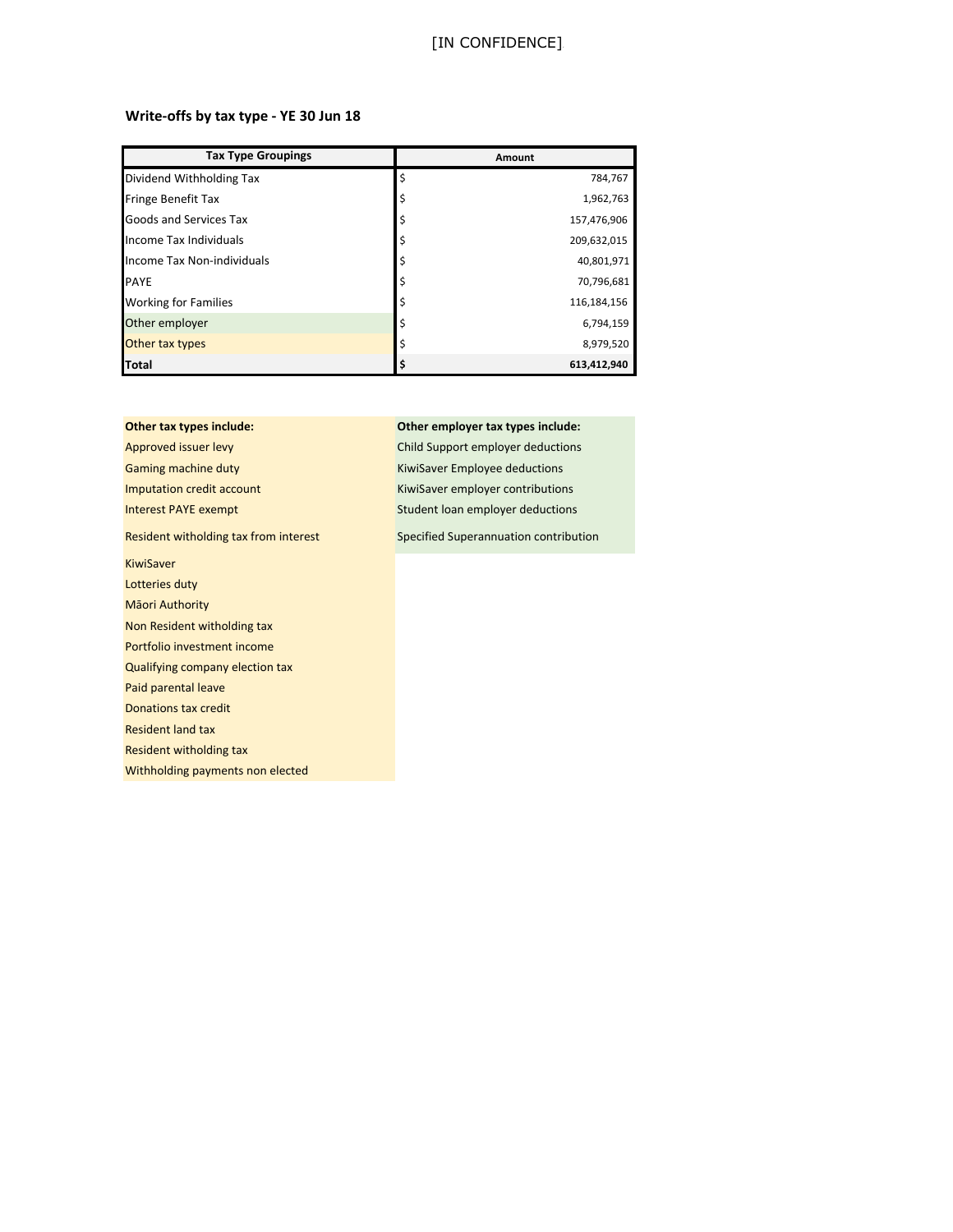## [IN CONFIDENCE].

#### **Write-offs by tax type - YE 30 Jun 18**

| <b>Tax Type Groupings</b>   | Amount            |
|-----------------------------|-------------------|
| Dividend Withholding Tax    | Ś<br>784,767      |
| <b>Fringe Benefit Tax</b>   | \$<br>1,962,763   |
| Goods and Services Tax      | \$<br>157,476,906 |
| Income Tax Individuals      | 209,632,015<br>\$ |
| Income Tax Non-individuals  | 40,801,971        |
| <b>PAYE</b>                 | \$<br>70,796,681  |
| <b>Working for Families</b> | \$<br>116,184,156 |
| Other employer              | 6,794,159         |
| Other tax types             | 8,979,520<br>Ś    |
| <b>Total</b>                | 613,412,940       |

# Approved issuer levy **Child Support employer deductions** Gaming machine duty **Communist Communist Communist Communist Communist Communist Communist Communist Communist Communist Communist Communist Communist Communist Communist Communist Communist Communist Communist Communist C** Imputation credit account **KiwiSaver employer contributions**

KiwiSaver Lotteries duty Māori Authority Non Resident witholding tax Portfolio investment income Qualifying company election tax Paid parental leave Donations tax credit Resident land tax Resident witholding tax Withholding payments non elected

## **Other tax types include: Other employer tax types include:**

Interest PAYE exempt Student loan employer deductions

Resident witholding tax from interest  $\qquad \qquad$  Specified Superannuation contribution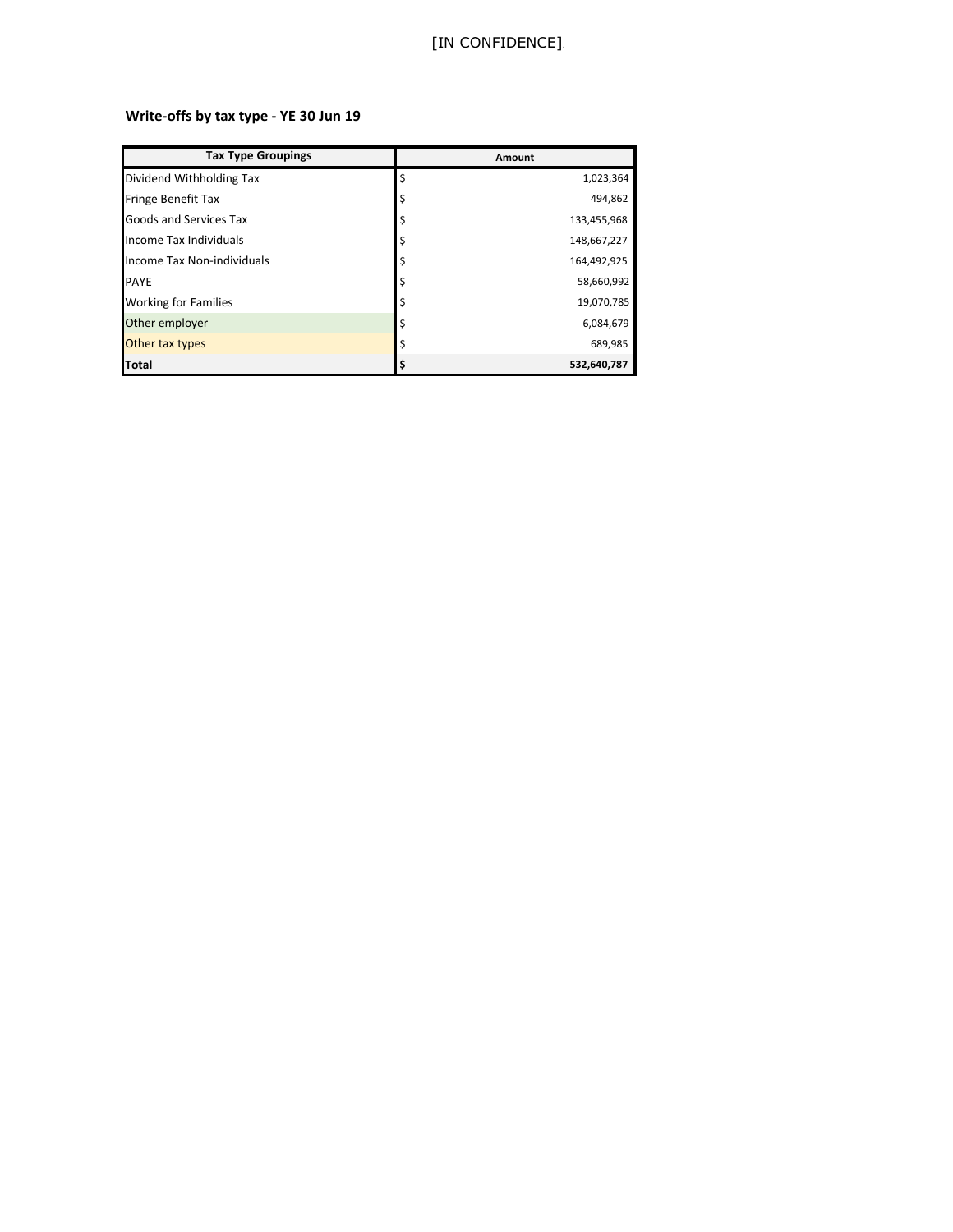## [IN CONFIDENCE]

# **Write-offs by tax type - YE 30 Jun 19**

| <b>Tax Type Groupings</b>   | Amount |             |
|-----------------------------|--------|-------------|
| Dividend Withholding Tax    | \$     | 1,023,364   |
| <b>Fringe Benefit Tax</b>   | \$     | 494,862     |
| Goods and Services Tax      | \$     | 133,455,968 |
| Income Tax Individuals      | \$     | 148,667,227 |
| Income Tax Non-individuals  | \$     | 164,492,925 |
| <b>PAYE</b>                 | \$     | 58,660,992  |
| <b>Working for Families</b> | \$     | 19,070,785  |
| Other employer              |        | 6,084,679   |
| Other tax types             | Ś      | 689,985     |
| <b>Total</b>                |        | 532,640,787 |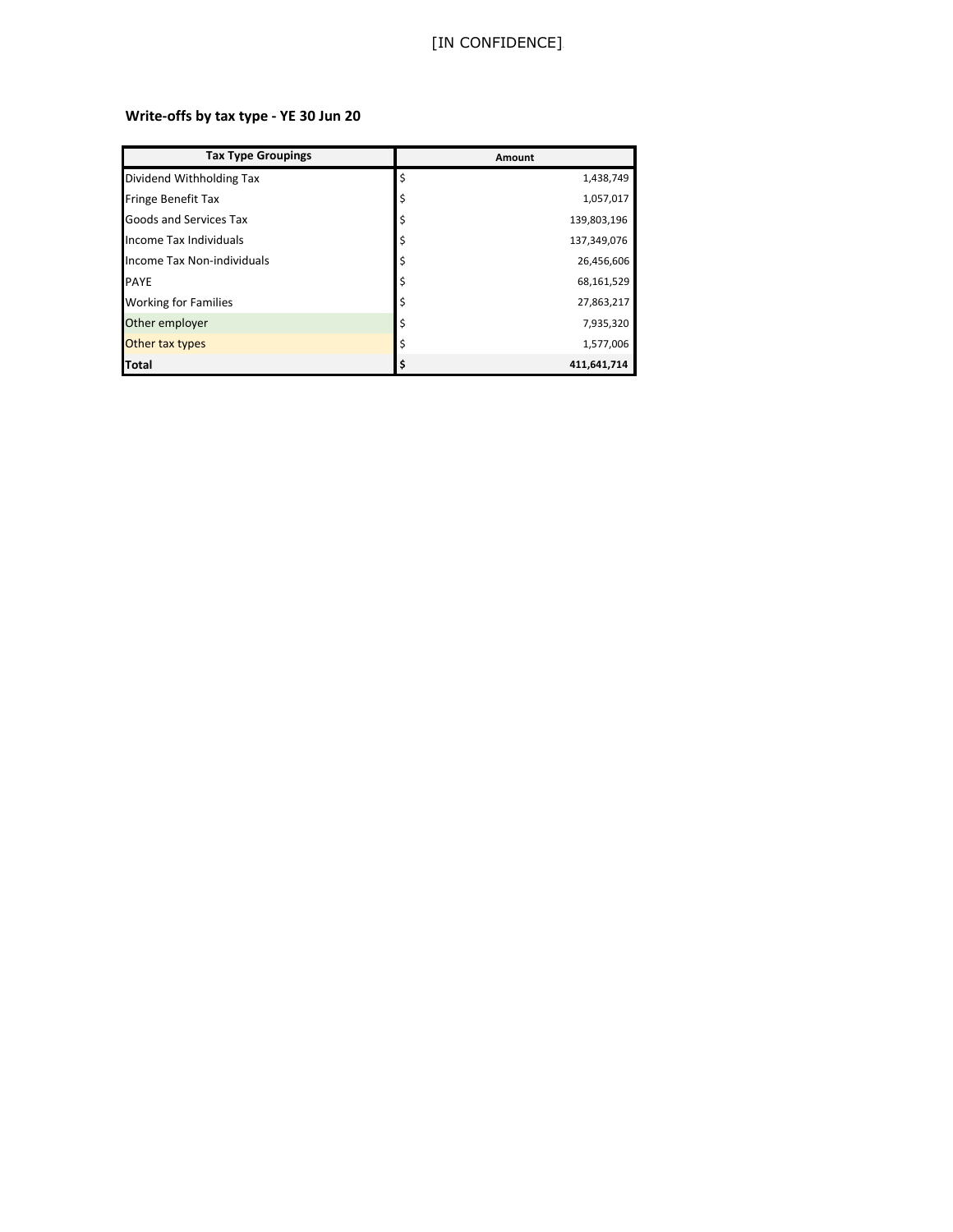## [IN CONFIDENCE]

# **Write-offs by tax type - YE 30 Jun 20**

| <b>Tax Type Groupings</b>     | Amount |             |
|-------------------------------|--------|-------------|
| Dividend Withholding Tax      | Ś      | 1,438,749   |
| <b>Fringe Benefit Tax</b>     |        | 1,057,017   |
| <b>Goods and Services Tax</b> |        | 139,803,196 |
| Income Tax Individuals        |        | 137,349,076 |
| Income Tax Non-individuals    |        | 26,456,606  |
| <b>PAYE</b>                   |        | 68,161,529  |
| <b>Working for Families</b>   |        | 27,863,217  |
| Other employer                |        | 7,935,320   |
| Other tax types               |        | 1,577,006   |
| Total                         |        | 411,641,714 |